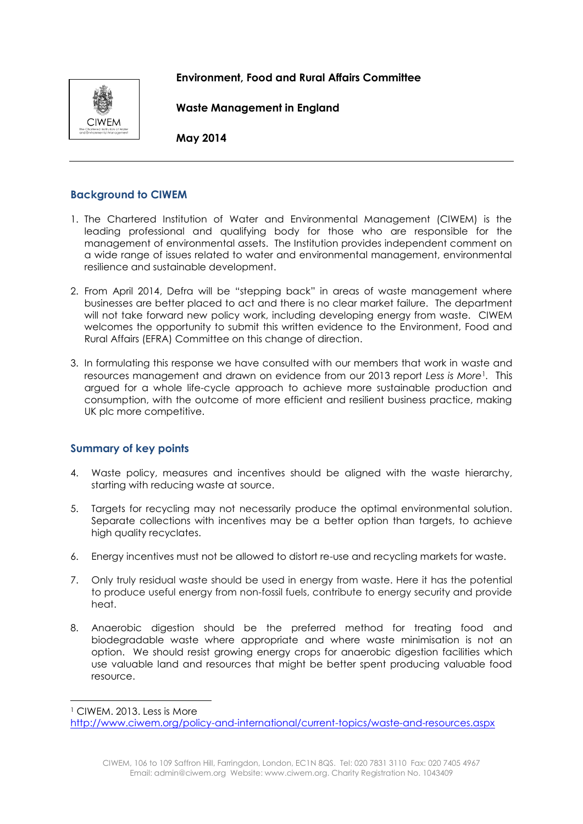



**Waste Management in England**

**May 2014**

# **Background to CIWEM**

- 1. The Chartered Institution of Water and Environmental Management (CIWEM) is the leading professional and qualifying body for those who are responsible for the management of environmental assets. The Institution provides independent comment on a wide range of issues related to water and environmental management, environmental resilience and sustainable development.
- 2. From April 2014, Defra will be "stepping back" in areas of waste management where businesses are better placed to act and there is no clear market failure. The department will not take forward new policy work, including developing energy from waste. CIWEM welcomes the opportunity to submit this written evidence to the Environment, Food and Rural Affairs (EFRA) Committee on this change of direction.
- 3. In formulating this response we have consulted with our members that work in waste and resources management and drawn on evidence from our 2013 report *Less is More*<sup>1</sup>*.* This argued for a whole life-cycle approach to achieve more sustainable production and consumption, with the outcome of more efficient and resilient business practice, making UK plc more competitive.

# **Summary of key points**

- 4. Waste policy, measures and incentives should be aligned with the waste hierarchy, starting with reducing waste at source.
- 5. Targets for recycling may not necessarily produce the optimal environmental solution. Separate collections with incentives may be a better option than targets, to achieve high quality recyclates.
- 6. Energy incentives must not be allowed to distort re-use and recycling markets for waste.
- 7. Only truly residual waste should be used in energy from waste. Here it has the potential to produce useful energy from non-fossil fuels, contribute to energy security and provide heat.
- 8. Anaerobic digestion should be the preferred method for treating food and biodegradable waste where appropriate and where waste minimisation is not an option. We should resist growing energy crops for anaerobic digestion facilities which use valuable land and resources that might be better spent producing valuable food resource.

<sup>1</sup> CIWEM. 2013. Less is More

1

<http://www.ciwem.org/policy-and-international/current-topics/waste-and-resources.aspx>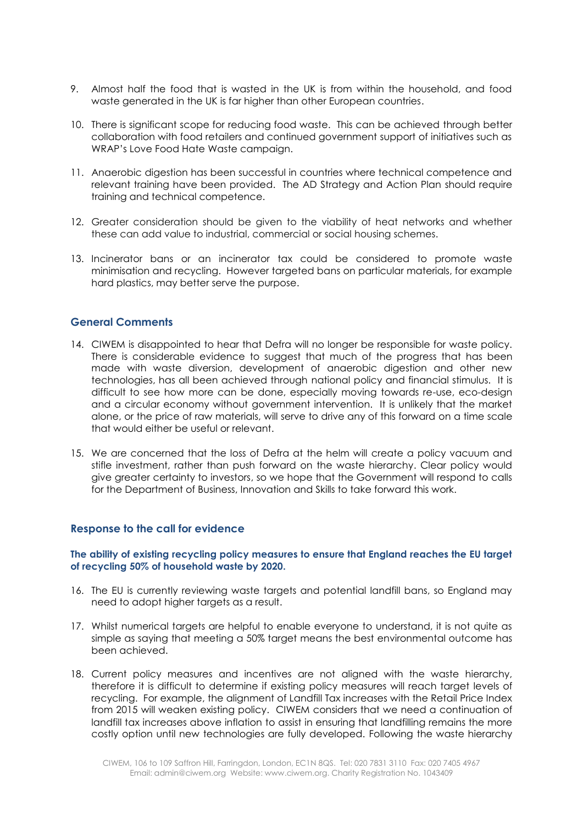- 9. Almost half the food that is wasted in the UK is from within the household, and food waste generated in the UK is far higher than other European countries.
- 10. There is significant scope for reducing food waste. This can be achieved through better collaboration with food retailers and continued government support of initiatives such as WRAP's Love Food Hate Waste campaign.
- 11. Anaerobic digestion has been successful in countries where technical competence and relevant training have been provided. The AD Strategy and Action Plan should require training and technical competence.
- 12. Greater consideration should be given to the viability of heat networks and whether these can add value to industrial, commercial or social housing schemes.
- 13. Incinerator bans or an incinerator tax could be considered to promote waste minimisation and recycling. However targeted bans on particular materials, for example hard plastics, may better serve the purpose.

## **General Comments**

- 14. CIWEM is disappointed to hear that Defra will no longer be responsible for waste policy. There is considerable evidence to suggest that much of the progress that has been made with waste diversion, development of anaerobic digestion and other new technologies, has all been achieved through national policy and financial stimulus. It is difficult to see how more can be done, especially moving towards re-use, eco-design and a circular economy without government intervention. It is unlikely that the market alone, or the price of raw materials, will serve to drive any of this forward on a time scale that would either be useful or relevant.
- 15. We are concerned that the loss of Defra at the helm will create a policy vacuum and stifle investment, rather than push forward on the waste hierarchy. Clear policy would give greater certainty to investors, so we hope that the Government will respond to calls for the Department of Business, Innovation and Skills to take forward this work.

## **Response to the call for evidence**

#### **The ability of existing recycling policy measures to ensure that England reaches the EU target of recycling 50% of household waste by 2020.**

- 16. The EU is currently reviewing waste targets and potential landfill bans, so England may need to adopt higher targets as a result.
- 17. Whilst numerical targets are helpful to enable everyone to understand, it is not quite as simple as saying that meeting a 50% target means the best environmental outcome has been achieved.
- 18. Current policy measures and incentives are not aligned with the waste hierarchy, therefore it is difficult to determine if existing policy measures will reach target levels of recycling. For example, the alignment of Landfill Tax increases with the Retail Price Index from 2015 will weaken existing policy. CIWEM considers that we need a continuation of landfill tax increases above inflation to assist in ensuring that landfilling remains the more costly option until new technologies are fully developed. Following the waste hierarchy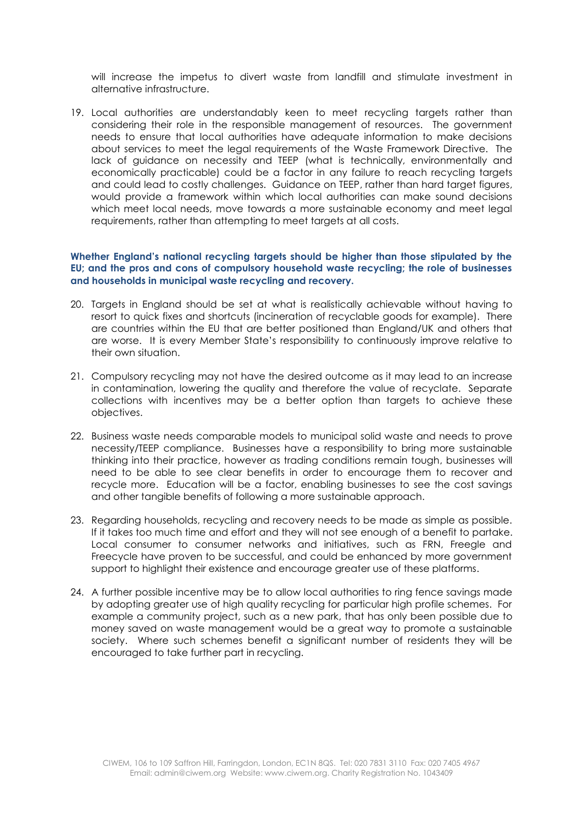will increase the impetus to divert waste from landfill and stimulate investment in alternative infrastructure.

19. Local authorities are understandably keen to meet recycling targets rather than considering their role in the responsible management of resources. The government needs to ensure that local authorities have adequate information to make decisions about services to meet the legal requirements of the Waste Framework Directive. The lack of guidance on necessity and TEEP (what is technically, environmentally and economically practicable) could be a factor in any failure to reach recycling targets and could lead to costly challenges. Guidance on TEEP, rather than hard target figures, would provide a framework within which local authorities can make sound decisions which meet local needs, move towards a more sustainable economy and meet legal requirements, rather than attempting to meet targets at all costs.

## **Whether England's national recycling targets should be higher than those stipulated by the EU; and the pros and cons of compulsory household waste recycling; the role of businesses and households in municipal waste recycling and recovery.**

- 20. Targets in England should be set at what is realistically achievable without having to resort to quick fixes and shortcuts (incineration of recyclable goods for example). There are countries within the EU that are better positioned than England/UK and others that are worse. It is every Member State's responsibility to continuously improve relative to their own situation.
- 21. Compulsory recycling may not have the desired outcome as it may lead to an increase in contamination, lowering the quality and therefore the value of recyclate. Separate collections with incentives may be a better option than targets to achieve these objectives.
- 22. Business waste needs comparable models to municipal solid waste and needs to prove necessity/TEEP compliance. Businesses have a responsibility to bring more sustainable thinking into their practice, however as trading conditions remain tough, businesses will need to be able to see clear benefits in order to encourage them to recover and recycle more. Education will be a factor, enabling businesses to see the cost savings and other tangible benefits of following a more sustainable approach.
- 23. Regarding households, recycling and recovery needs to be made as simple as possible. If it takes too much time and effort and they will not see enough of a benefit to partake. Local consumer to consumer networks and initiatives, such as FRN, Freegle and Freecycle have proven to be successful, and could be enhanced by more government support to highlight their existence and encourage greater use of these platforms.
- 24. A further possible incentive may be to allow local authorities to ring fence savings made by adopting greater use of high quality recycling for particular high profile schemes. For example a community project, such as a new park, that has only been possible due to money saved on waste management would be a great way to promote a sustainable society. Where such schemes benefit a significant number of residents they will be encouraged to take further part in recycling.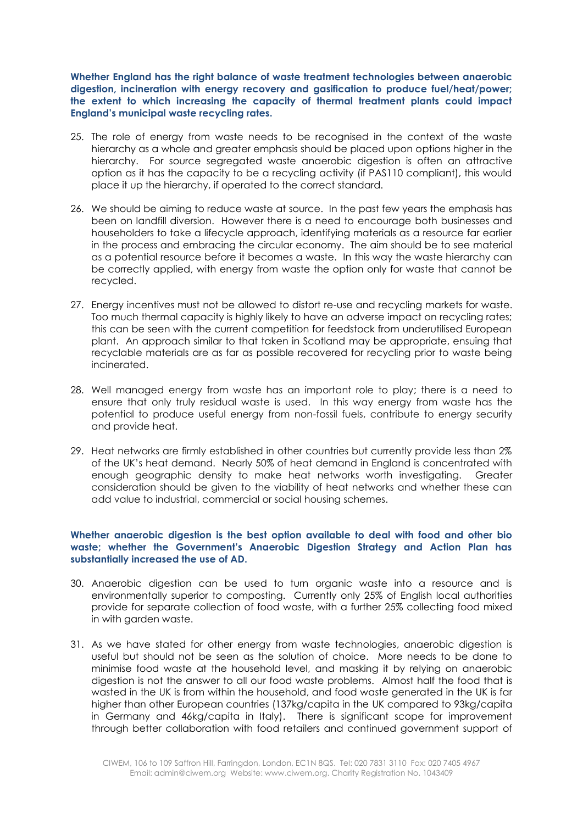**Whether England has the right balance of waste treatment technologies between anaerobic digestion, incineration with energy recovery and gasification to produce fuel/heat/power; the extent to which increasing the capacity of thermal treatment plants could impact England's municipal waste recycling rates.**

- 25. The role of energy from waste needs to be recognised in the context of the waste hierarchy as a whole and greater emphasis should be placed upon options higher in the hierarchy. For source segregated waste anaerobic digestion is often an attractive option as it has the capacity to be a recycling activity (if PAS110 compliant), this would place it up the hierarchy, if operated to the correct standard.
- 26. We should be aiming to reduce waste at source. In the past few years the emphasis has been on landfill diversion. However there is a need to encourage both businesses and householders to take a lifecycle approach, identifying materials as a resource far earlier in the process and embracing the circular economy. The aim should be to see material as a potential resource before it becomes a waste. In this way the waste hierarchy can be correctly applied, with energy from waste the option only for waste that cannot be recycled.
- 27. Energy incentives must not be allowed to distort re-use and recycling markets for waste. Too much thermal capacity is highly likely to have an adverse impact on recycling rates; this can be seen with the current competition for feedstock from underutilised European plant. An approach similar to that taken in Scotland may be appropriate, ensuing that recyclable materials are as far as possible recovered for recycling prior to waste being incinerated.
- 28. Well managed energy from waste has an important role to play; there is a need to ensure that only truly residual waste is used. In this way energy from waste has the potential to produce useful energy from non-fossil fuels, contribute to energy security and provide heat.
- 29. Heat networks are firmly established in other countries but currently provide less than 2% of the UK's heat demand. Nearly 50% of heat demand in England is concentrated with enough geographic density to make heat networks worth investigating. Greater consideration should be given to the viability of heat networks and whether these can add value to industrial, commercial or social housing schemes.

## **Whether anaerobic digestion is the best option available to deal with food and other bio waste; whether the Government's Anaerobic Digestion Strategy and Action Plan has substantially increased the use of AD.**

- 30. Anaerobic digestion can be used to turn organic waste into a resource and is environmentally superior to composting. Currently only 25% of English local authorities provide for separate collection of food waste, with a further 25% collecting food mixed in with garden waste.
- 31. As we have stated for other energy from waste technologies, anaerobic digestion is useful but should not be seen as the solution of choice. More needs to be done to minimise food waste at the household level, and masking it by relying on anaerobic digestion is not the answer to all our food waste problems. Almost half the food that is wasted in the UK is from within the household, and food waste generated in the UK is far higher than other European countries (137kg/capita in the UK compared to 93kg/capita in Germany and 46kg/capita in Italy). There is significant scope for improvement through better collaboration with food retailers and continued government support of